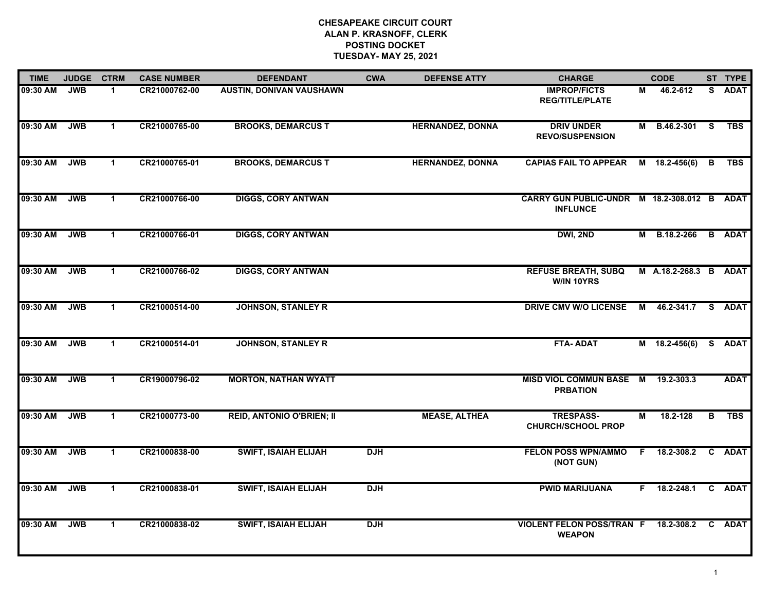| <b>TIME</b> | <b>JUDGE</b> | <b>CTRM</b>          | <b>CASE NUMBER</b> | <b>DEFENDANT</b>                 | <b>CWA</b> | <b>DEFENSE ATTY</b>     | <b>CHARGE</b>                                                  |    | <b>CODE</b>      |    | ST TYPE       |
|-------------|--------------|----------------------|--------------------|----------------------------------|------------|-------------------------|----------------------------------------------------------------|----|------------------|----|---------------|
| 09:30 AM    | <b>JWB</b>   | 1                    | CR21000762-00      | <b>AUSTIN, DONIVAN VAUSHAWN</b>  |            |                         | <b>IMPROP/FICTS</b><br><b>REG/TITLE/PLATE</b>                  | М  | 46.2-612         | S. | <b>ADAT</b>   |
| 09:30 AM    | <b>JWB</b>   | $\mathbf{1}$         | CR21000765-00      | <b>BROOKS, DEMARCUS T</b>        |            | <b>HERNANDEZ, DONNA</b> | <b>DRIV UNDER</b><br><b>REVO/SUSPENSION</b>                    |    | M B.46.2-301 S   |    | <b>TBS</b>    |
| 09:30 AM    | <b>JWB</b>   | $\blacktriangleleft$ | CR21000765-01      | <b>BROOKS, DEMARCUS T</b>        |            | <b>HERNANDEZ, DONNA</b> | <b>CAPIAS FAIL TO APPEAR</b>                                   |    | $M$ 18.2-456(6)  | B  | <b>TBS</b>    |
| 09:30 AM    | <b>JWB</b>   | $\blacktriangleleft$ | CR21000766-00      | <b>DIGGS, CORY ANTWAN</b>        |            |                         | CARRY GUN PUBLIC-UNDR M 18.2-308.012 B ADAT<br><b>INFLUNCE</b> |    |                  |    |               |
| 09:30 AM    | <b>JWB</b>   | $\mathbf 1$          | CR21000766-01      | <b>DIGGS, CORY ANTWAN</b>        |            |                         | DWI, 2ND                                                       |    | M B.18.2-266     |    | <b>B</b> ADAT |
| 09:30 AM    | <b>JWB</b>   | $\blacktriangleleft$ | CR21000766-02      | <b>DIGGS, CORY ANTWAN</b>        |            |                         | <b>REFUSE BREATH, SUBQ</b><br>W/IN 10YRS                       |    | M A.18.2-268.3 B |    | <b>ADAT</b>   |
| 09:30 AM    | <b>JWB</b>   | $\mathbf{1}$         | CR21000514-00      | <b>JOHNSON, STANLEY R</b>        |            |                         | <b>DRIVE CMV W/O LICENSE</b>                                   | M  | 46.2-341.7       |    | S ADAT        |
| 09:30 AM    | <b>JWB</b>   | $\mathbf{1}$         | CR21000514-01      | <b>JOHNSON, STANLEY R</b>        |            |                         | <b>FTA-ADAT</b>                                                |    | $M$ 18.2-456(6)  |    | S ADAT        |
| 09:30 AM    | <b>JWB</b>   | $\blacktriangleleft$ | CR19000796-02      | <b>MORTON, NATHAN WYATT</b>      |            |                         | MISD VIOL COMMUN BASE M<br><b>PRBATION</b>                     |    | 19.2-303.3       |    | <b>ADAT</b>   |
| 09:30 AM    | <b>JWB</b>   | $\mathbf{1}$         | CR21000773-00      | <b>REID, ANTONIO O'BRIEN; II</b> |            | <b>MEASE, ALTHEA</b>    | <b>TRESPASS-</b><br><b>CHURCH/SCHOOL PROP</b>                  | М  | 18.2-128         | В  | <b>TBS</b>    |
| 09:30 AM    | <b>JWB</b>   | $\mathbf 1$          | CR21000838-00      | <b>SWIFT, ISAIAH ELIJAH</b>      | <b>DJH</b> |                         | <b>FELON POSS WPN/AMMO</b><br>(NOT GUN)                        | F. | 18.2-308.2       | C. | <b>ADAT</b>   |
| 09:30 AM    | <b>JWB</b>   | $\blacktriangleleft$ | CR21000838-01      | <b>SWIFT, ISAIAH ELIJAH</b>      | <b>DJH</b> |                         | <b>PWID MARIJUANA</b>                                          | F. | 18.2-248.1       |    | C ADAT        |
| 09:30 AM    | <b>JWB</b>   | $\mathbf 1$          | CR21000838-02      | <b>SWIFT, ISAIAH ELIJAH</b>      | <b>DJH</b> |                         | <b>VIOLENT FELON POSS/TRAN F</b><br><b>WEAPON</b>              |    | 18.2-308.2       |    | C ADAT        |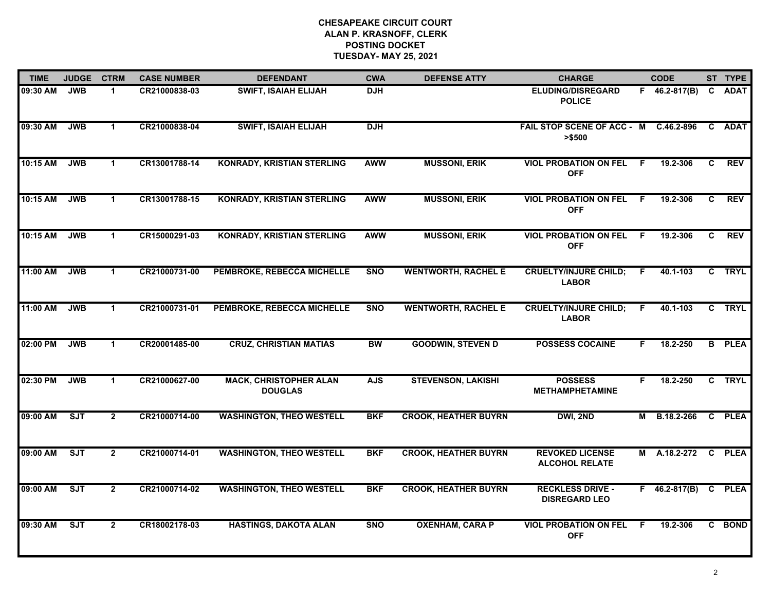| <b>TIME</b> | <b>JUDGE</b> | <b>CTRM</b>          | <b>CASE NUMBER</b> | <b>DEFENDANT</b>                                | <b>CWA</b> | <b>DEFENSE ATTY</b>         | <b>CHARGE</b>                                    |     | <b>CODE</b>         |              | ST TYPE       |
|-------------|--------------|----------------------|--------------------|-------------------------------------------------|------------|-----------------------------|--------------------------------------------------|-----|---------------------|--------------|---------------|
| 09:30 AM    | <b>JWB</b>   | 1                    | CR21000838-03      | <b>SWIFT, ISAIAH ELIJAH</b>                     | <b>DJH</b> |                             | <b>ELUDING/DISREGARD</b><br><b>POLICE</b>        |     | $F$ 46.2-817(B)     | C            | <b>ADAT</b>   |
| 09:30 AM    | <b>JWB</b>   | $\blacktriangleleft$ | CR21000838-04      | <b>SWIFT, ISAIAH ELIJAH</b>                     | <b>DJH</b> |                             | FAIL STOP SCENE OF ACC - M C.46.2-896<br>> \$500 |     |                     | $\mathbf{c}$ | <b>ADAT</b>   |
| 10:15 AM    | <b>JWB</b>   | $\blacktriangleleft$ | CR13001788-14      | <b>KONRADY, KRISTIAN STERLING</b>               | <b>AWW</b> | <b>MUSSONI, ERIK</b>        | <b>VIOL PROBATION ON FEL</b><br><b>OFF</b>       | - F | 19.2-306            | C            | <b>REV</b>    |
| 10:15 AM    | <b>JWB</b>   | 1                    | CR13001788-15      | <b>KONRADY, KRISTIAN STERLING</b>               | <b>AWW</b> | <b>MUSSONI, ERIK</b>        | <b>VIOL PROBATION ON FEL</b><br><b>OFF</b>       | - F | 19.2-306            | C            | <b>REV</b>    |
| 10:15 AM    | <b>JWB</b>   | $\mathbf 1$          | CR15000291-03      | <b>KONRADY, KRISTIAN STERLING</b>               | <b>AWW</b> | <b>MUSSONI, ERIK</b>        | <b>VIOL PROBATION ON FEL</b><br><b>OFF</b>       | -F  | 19.2-306            | $\mathbf{C}$ | <b>REV</b>    |
| 11:00 AM    | <b>JWB</b>   | $\mathbf 1$          | CR21000731-00      | PEMBROKE, REBECCA MICHELLE                      | <b>SNO</b> | <b>WENTWORTH, RACHEL E</b>  | <b>CRUELTY/INJURE CHILD;</b><br><b>LABOR</b>     | F.  | 40.1-103            | $\mathbf{c}$ | <b>TRYL</b>   |
| 11:00 AM    | <b>JWB</b>   | $\blacktriangleleft$ | CR21000731-01      | PEMBROKE, REBECCA MICHELLE                      | <b>SNO</b> | <b>WENTWORTH, RACHEL E</b>  | <b>CRUELTY/INJURE CHILD;</b><br><b>LABOR</b>     | F.  | 40.1-103            |              | C TRYL        |
| 02:00 PM    | <b>JWB</b>   | $\blacktriangleleft$ | CR20001485-00      | <b>CRUZ, CHRISTIAN MATIAS</b>                   | <b>BW</b>  | <b>GOODWIN, STEVEN D</b>    | <b>POSSESS COCAINE</b>                           | F.  | 18.2-250            |              | <b>B</b> PLEA |
| 02:30 PM    | <b>JWB</b>   | $\mathbf 1$          | CR21000627-00      | <b>MACK, CHRISTOPHER ALAN</b><br><b>DOUGLAS</b> | <b>AJS</b> | <b>STEVENSON, LAKISHI</b>   | <b>POSSESS</b><br><b>METHAMPHETAMINE</b>         | F   | 18.2-250            | C.           | <b>TRYL</b>   |
| 09:00 AM    | ST           | $\overline{2}$       | CR21000714-00      | <b>WASHINGTON, THEO WESTELL</b>                 | <b>BKF</b> | <b>CROOK, HEATHER BUYRN</b> | DWI, 2ND                                         |     | M B.18.2-266        |              | C PLEA        |
| 09:00 AM    | ST           | $\overline{2}$       | CR21000714-01      | <b>WASHINGTON, THEO WESTELL</b>                 | <b>BKF</b> | <b>CROOK, HEATHER BUYRN</b> | <b>REVOKED LICENSE</b><br><b>ALCOHOL RELATE</b>  |     | M A.18.2-272        |              | C PLEA        |
| 09:00 AM    | ST           | $\overline{2}$       | CR21000714-02      | <b>WASHINGTON, THEO WESTELL</b>                 | <b>BKF</b> | <b>CROOK, HEATHER BUYRN</b> | <b>RECKLESS DRIVE -</b><br><b>DISREGARD LEO</b>  |     | $F = 46.2 - 817(B)$ |              | C PLEA        |
| 09:30 AM    | ST           | $\overline{2}$       | CR18002178-03      | <b>HASTINGS, DAKOTA ALAN</b>                    | <b>SNO</b> | <b>OXENHAM, CARA P</b>      | <b>VIOL PROBATION ON FEL</b><br><b>OFF</b>       | F   | 19.2-306            |              | C BOND        |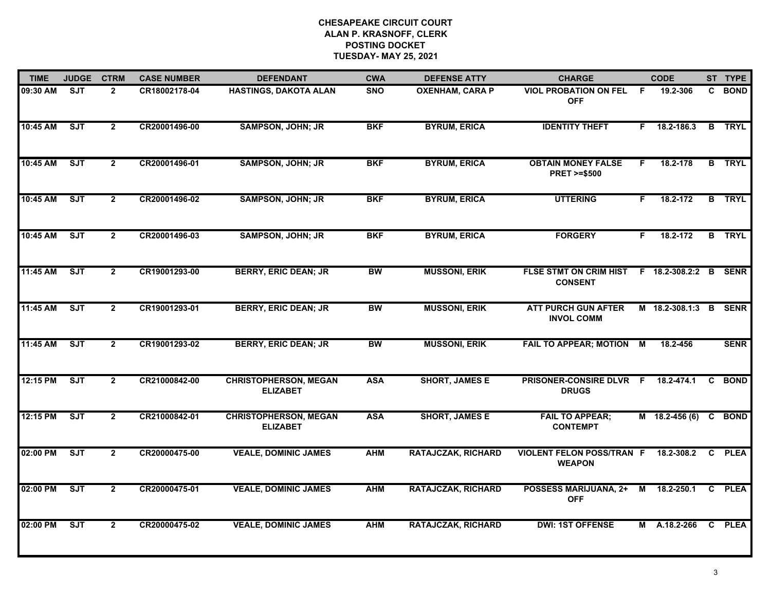| <b>TIME</b> | <b>JUDGE</b> | <b>CTRM</b>    | <b>CASE NUMBER</b> | <b>DEFENDANT</b>                                | <b>CWA</b> | <b>DEFENSE ATTY</b>       | <b>CHARGE</b>                                       |                | <b>CODE</b>      |              | ST TYPE       |
|-------------|--------------|----------------|--------------------|-------------------------------------------------|------------|---------------------------|-----------------------------------------------------|----------------|------------------|--------------|---------------|
| 09:30 AM    | <b>SJT</b>   | $\overline{2}$ | CR18002178-04      | HASTINGS, DAKOTA ALAN                           | <b>SNO</b> | <b>OXENHAM, CARA P</b>    | <b>VIOL PROBATION ON FEL</b><br><b>OFF</b>          | -F             | 19.2-306         | C.           | <b>BOND</b>   |
| 10:45 AM    | SJT          | $\overline{2}$ | CR20001496-00      | <b>SAMPSON, JOHN; JR</b>                        | <b>BKF</b> | <b>BYRUM, ERICA</b>       | <b>IDENTITY THEFT</b>                               | F.             | 18.2-186.3       | B            | <b>TRYL</b>   |
| 10:45 AM    | ST           | $\overline{2}$ | CR20001496-01      | <b>SAMPSON, JOHN; JR</b>                        | <b>BKF</b> | <b>BYRUM, ERICA</b>       | <b>OBTAIN MONEY FALSE</b><br><b>PRET &gt;=\$500</b> | F.             | 18.2-178         |              | <b>B</b> TRYL |
| 10:45 AM    | <b>SJT</b>   | $\overline{2}$ | CR20001496-02      | <b>SAMPSON, JOHN; JR</b>                        | <b>BKF</b> | <b>BYRUM, ERICA</b>       | <b>UTTERING</b>                                     | F.             | 18.2-172         |              | <b>B</b> TRYL |
| 10:45 AM    | <b>SJT</b>   | $\overline{2}$ | CR20001496-03      | <b>SAMPSON, JOHN; JR</b>                        | <b>BKF</b> | <b>BYRUM, ERICA</b>       | <b>FORGERY</b>                                      | F.             | 18.2-172         |              | <b>B</b> TRYL |
| 11:45 AM    | ST           | $\overline{2}$ | CR19001293-00      | <b>BERRY, ERIC DEAN; JR</b>                     | <b>BW</b>  | <b>MUSSONI, ERIK</b>      | <b>FLSE STMT ON CRIM HIST</b><br><b>CONSENT</b>     |                | $F$ 18.2-308.2:2 | B            | <b>SENR</b>   |
| 11:45 AM    | SJT          | $\overline{2}$ | CR19001293-01      | <b>BERRY, ERIC DEAN; JR</b>                     | <b>BW</b>  | <b>MUSSONI, ERIK</b>      | <b>ATT PURCH GUN AFTER</b><br><b>INVOL COMM</b>     |                | M 18.2-308.1:3 B |              | <b>SENR</b>   |
| 11:45 AM    | ST           | $\overline{2}$ | CR19001293-02      | <b>BERRY, ERIC DEAN; JR</b>                     | <b>BW</b>  | <b>MUSSONI, ERIK</b>      | <b>FAIL TO APPEAR; MOTION</b>                       | $\overline{M}$ | 18.2-456         |              | <b>SENR</b>   |
| 12:15 PM    | ST           | $\overline{2}$ | CR21000842-00      | <b>CHRISTOPHERSON, MEGAN</b><br><b>ELIZABET</b> | <b>ASA</b> | <b>SHORT, JAMES E</b>     | PRISONER-CONSIRE DLVR F<br><b>DRUGS</b>             |                | 18.2-474.1       | C            | <b>BOND</b>   |
| 12:15 PM    | ST           | $\overline{2}$ | CR21000842-01      | <b>CHRISTOPHERSON, MEGAN</b><br><b>ELIZABET</b> | <b>ASA</b> | <b>SHORT, JAMES E</b>     | <b>FAIL TO APPEAR;</b><br><b>CONTEMPT</b>           |                | $M$ 18.2-456 (6) | C            | <b>BOND</b>   |
| 02:00 PM    | SJT          | $\overline{2}$ | CR20000475-00      | <b>VEALE, DOMINIC JAMES</b>                     | <b>AHM</b> | <b>RATAJCZAK, RICHARD</b> | <b>VIOLENT FELON POSS/TRAN F</b><br><b>WEAPON</b>   |                | 18.2-308.2       | C            | <b>PLEA</b>   |
| 02:00 PM    | ST           | $\overline{2}$ | CR20000475-01      | <b>VEALE, DOMINIC JAMES</b>                     | <b>AHM</b> | <b>RATAJCZAK, RICHARD</b> | <b>POSSESS MARIJUANA, 2+</b><br><b>OFF</b>          | М              | 18.2-250.1       | C            | <b>PLEA</b>   |
| 02:00 PM    | ST           | $\overline{2}$ | CR20000475-02      | <b>VEALE, DOMINIC JAMES</b>                     | <b>AHM</b> | <b>RATAJCZAK, RICHARD</b> | <b>DWI: 1ST OFFENSE</b>                             | M              | A.18.2-266       | $\mathbf{c}$ | <b>PLEA</b>   |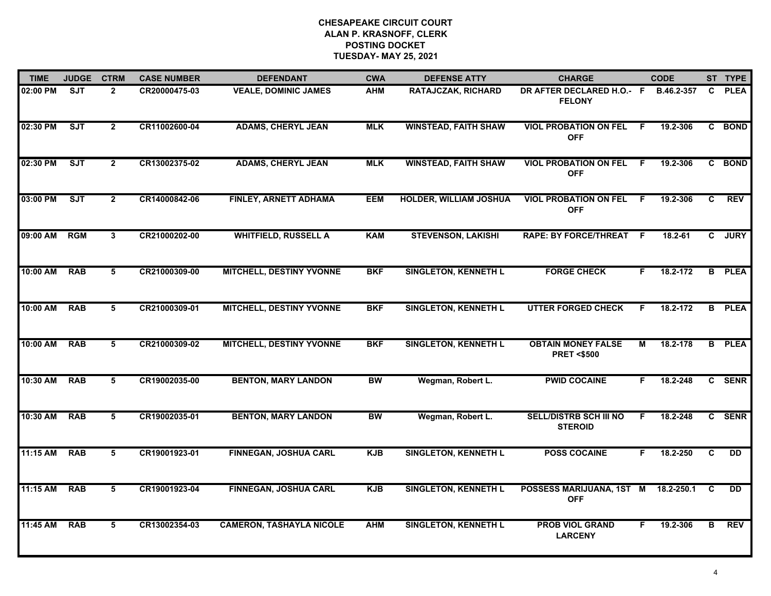| <b>TIME</b> | <b>JUDGE</b> | <b>CTRM</b>    | <b>CASE NUMBER</b> | <b>DEFENDANT</b>                | <b>CWA</b> | <b>DEFENSE ATTY</b>           | <b>CHARGE</b>                                      |                | <b>CODE</b> |    | ST TYPE       |
|-------------|--------------|----------------|--------------------|---------------------------------|------------|-------------------------------|----------------------------------------------------|----------------|-------------|----|---------------|
| 02:00 PM    | <b>SJT</b>   | $\overline{2}$ | CR20000475-03      | <b>VEALE, DOMINIC JAMES</b>     | <b>AHM</b> | <b>RATAJCZAK, RICHARD</b>     | DR AFTER DECLARED H.O.- F<br><b>FELONY</b>         |                | B.46.2-357  | C. | <b>PLEA</b>   |
| 02:30 PM    | ST           | $\overline{2}$ | CR11002600-04      | <b>ADAMS, CHERYL JEAN</b>       | <b>MLK</b> | <b>WINSTEAD, FAITH SHAW</b>   | <b>VIOL PROBATION ON FEL</b><br><b>OFF</b>         | -F             | 19.2-306    |    | C BOND        |
| 02:30 PM    | ST           | $\overline{2}$ | CR13002375-02      | <b>ADAMS, CHERYL JEAN</b>       | <b>MLK</b> | <b>WINSTEAD, FAITH SHAW</b>   | <b>VIOL PROBATION ON FEL</b><br><b>OFF</b>         | F.             | 19.2-306    |    | C BOND        |
| 03:00 PM    | <b>SJT</b>   | $\overline{2}$ | CR14000842-06      | <b>FINLEY, ARNETT ADHAMA</b>    | <b>EEM</b> | <b>HOLDER, WILLIAM JOSHUA</b> | <b>VIOL PROBATION ON FEL</b><br><b>OFF</b>         | -F             | 19.2-306    | C. | <b>REV</b>    |
| 09:00 AM    | <b>RGM</b>   | 3              | CR21000202-00      | <b>WHITFIELD, RUSSELL A</b>     | <b>KAM</b> | <b>STEVENSON, LAKISHI</b>     | <b>RAPE: BY FORCE/THREAT</b>                       | - F            | 18.2-61     |    | C JURY        |
| 10:00 AM    | <b>RAB</b>   | 5              | CR21000309-00      | <b>MITCHELL, DESTINY YVONNE</b> | <b>BKF</b> | <b>SINGLETON, KENNETH L</b>   | <b>FORGE CHECK</b>                                 | F.             | 18.2-172    |    | <b>B</b> PLEA |
| 10:00 AM    | <b>RAB</b>   | 5              | CR21000309-01      | <b>MITCHELL, DESTINY YVONNE</b> | <b>BKF</b> | <b>SINGLETON, KENNETH L</b>   | <b>UTTER FORGED CHECK</b>                          | F.             | 18.2-172    | B  | <b>PLEA</b>   |
| 10:00 AM    | <b>RAB</b>   | $\overline{5}$ | CR21000309-02      | <b>MITCHELL, DESTINY YVONNE</b> | <b>BKF</b> | <b>SINGLETON, KENNETH L</b>   | <b>OBTAIN MONEY FALSE</b><br><b>PRET &lt;\$500</b> | $\overline{M}$ | 18.2-178    |    | <b>B</b> PLEA |
| 10:30 AM    | <b>RAB</b>   | 5              | CR19002035-00      | <b>BENTON, MARY LANDON</b>      | <b>BW</b>  | Wegman, Robert L.             | <b>PWID COCAINE</b>                                | F.             | 18.2-248    |    | C SENR        |
| 10:30 AM    | <b>RAB</b>   | 5              | CR19002035-01      | <b>BENTON, MARY LANDON</b>      | <b>BW</b>  | Wegman, Robert L.             | <b>SELL/DISTRB SCH III NO</b><br><b>STEROID</b>    | F.             | 18.2-248    |    | C SENR        |
| 11:15 AM    | <b>RAB</b>   | 5              | CR19001923-01      | FINNEGAN, JOSHUA CARL           | <b>KJB</b> | <b>SINGLETON, KENNETH L</b>   | <b>POSS COCAINE</b>                                | F.             | 18.2-250    | C  | <b>DD</b>     |
| 11:15 AM    | <b>RAB</b>   | 5              | CR19001923-04      | <b>FINNEGAN, JOSHUA CARL</b>    | <b>KJB</b> | <b>SINGLETON, KENNETH L</b>   | POSSESS MARIJUANA, 1ST M<br><b>OFF</b>             |                | 18.2-250.1  | C  | <b>DD</b>     |
| 11:45 AM    | <b>RAB</b>   | 5              | CR13002354-03      | <b>CAMERON, TASHAYLA NICOLE</b> | <b>AHM</b> | <b>SINGLETON, KENNETH L</b>   | <b>PROB VIOL GRAND</b><br><b>LARCENY</b>           | F.             | 19.2-306    | В  | <b>REV</b>    |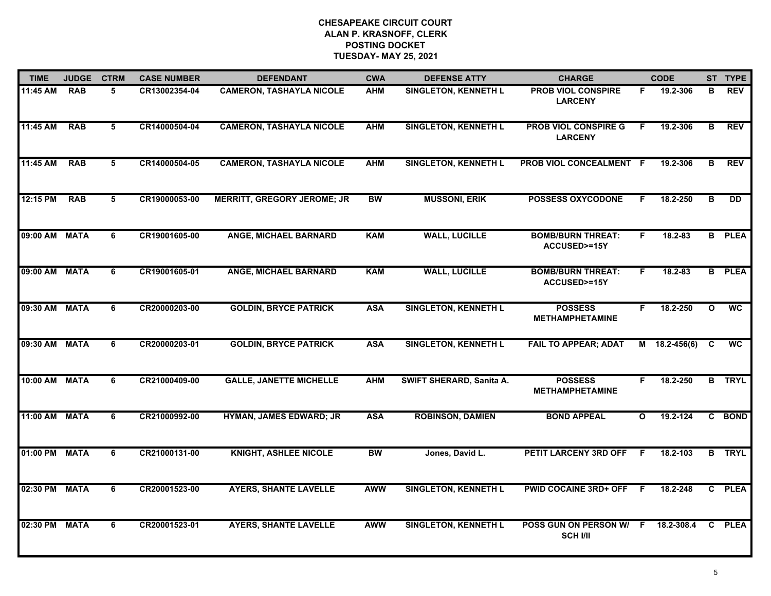| <b>TIME</b>   | <b>JUDGE</b> | <b>CTRM</b> | <b>CASE NUMBER</b> | <b>DEFENDANT</b>                   | <b>CWA</b> | <b>DEFENSE ATTY</b>         | <b>CHARGE</b>                                      |              | <b>CODE</b>     |                         | ST TYPE                  |
|---------------|--------------|-------------|--------------------|------------------------------------|------------|-----------------------------|----------------------------------------------------|--------------|-----------------|-------------------------|--------------------------|
| 11:45 AM      | <b>RAB</b>   | 5           | CR13002354-04      | <b>CAMERON, TASHAYLA NICOLE</b>    | <b>AHM</b> | <b>SINGLETON, KENNETH L</b> | <b>PROB VIOL CONSPIRE</b><br><b>LARCENY</b>        | F.           | 19.2-306        | в                       | <b>REV</b>               |
| 11:45 AM      | <b>RAB</b>   | 5           | CR14000504-04      | <b>CAMERON, TASHAYLA NICOLE</b>    | <b>AHM</b> | <b>SINGLETON, KENNETH L</b> | <b>PROB VIOL CONSPIRE G</b><br><b>LARCENY</b>      | F.           | 19.2-306        | B                       | <b>REV</b>               |
| 11:45 AM      | <b>RAB</b>   | 5           | CR14000504-05      | <b>CAMERON, TASHAYLA NICOLE</b>    | <b>AHM</b> | <b>SINGLETON, KENNETH L</b> | PROB VIOL CONCEALMENT F                            |              | 19.2-306        | В                       | <b>REV</b>               |
| 12:15 PM      | <b>RAB</b>   | 5           | CR19000053-00      | <b>MERRITT, GREGORY JEROME; JR</b> | <b>BW</b>  | <b>MUSSONI, ERIK</b>        | <b>POSSESS OXYCODONE</b>                           | E            | 18.2-250        | в                       | DD.                      |
| 09:00 AM MATA |              | 6           | CR19001605-00      | <b>ANGE, MICHAEL BARNARD</b>       | <b>KAM</b> | <b>WALL, LUCILLE</b>        | <b>BOMB/BURN THREAT:</b><br>ACCUSED>=15Y           | F.           | $18.2 - 83$     |                         | <b>B</b> PLEA            |
| 09:00 AM MATA |              | 6           | CR19001605-01      | <b>ANGE, MICHAEL BARNARD</b>       | <b>KAM</b> | <b>WALL, LUCILLE</b>        | <b>BOMB/BURN THREAT:</b><br><b>ACCUSED&gt;=15Y</b> | F.           | 18.2-83         |                         | <b>B</b> PLEA            |
| 09:30 AM MATA |              | 6           | CR20000203-00      | <b>GOLDIN, BRYCE PATRICK</b>       | <b>ASA</b> | <b>SINGLETON, KENNETH L</b> | <b>POSSESS</b><br><b>METHAMPHETAMINE</b>           | F.           | 18.2-250        | $\overline{\mathbf{o}}$ | $\overline{\mathsf{wc}}$ |
| 09:30 AM MATA |              | 6           | CR20000203-01      | <b>GOLDIN, BRYCE PATRICK</b>       | <b>ASA</b> | <b>SINGLETON, KENNETH L</b> | <b>FAIL TO APPEAR; ADAT</b>                        |              | $M$ 18.2-456(6) | C                       | <b>WC</b>                |
| 10:00 AM MATA |              | 6           | CR21000409-00      | <b>GALLE, JANETTE MICHELLE</b>     | <b>AHM</b> | SWIFT SHERARD, Sanita A.    | <b>POSSESS</b><br><b>METHAMPHETAMINE</b>           | F.           | 18.2-250        |                         | <b>B</b> TRYL            |
| 11:00 AM MATA |              | 6           | CR21000992-00      | HYMAN, JAMES EDWARD; JR            | <b>ASA</b> | <b>ROBINSON, DAMIEN</b>     | <b>BOND APPEAL</b>                                 | $\mathbf{o}$ | 19.2-124        |                         | C BOND                   |
| 01:00 PM MATA |              | 6           | CR21000131-00      | <b>KNIGHT, ASHLEE NICOLE</b>       | <b>BW</b>  | Jones, David L.             | PETIT LARCENY 3RD OFF F                            |              | 18.2-103        |                         | <b>B</b> TRYL            |
| 02:30 PM MATA |              | 6           | CR20001523-00      | <b>AYERS, SHANTE LAVELLE</b>       | <b>AWW</b> | <b>SINGLETON, KENNETH L</b> | <b>PWID COCAINE 3RD+ OFF</b>                       | F.           | $18.2 - 248$    |                         | C PLEA                   |
| 02:30 PM MATA |              | 6           | CR20001523-01      | <b>AYERS, SHANTE LAVELLE</b>       | <b>AWW</b> | <b>SINGLETON, KENNETH L</b> | POSS GUN ON PERSON W/ F<br><b>SCH I/II</b>         |              | 18.2-308.4      |                         | C PLEA                   |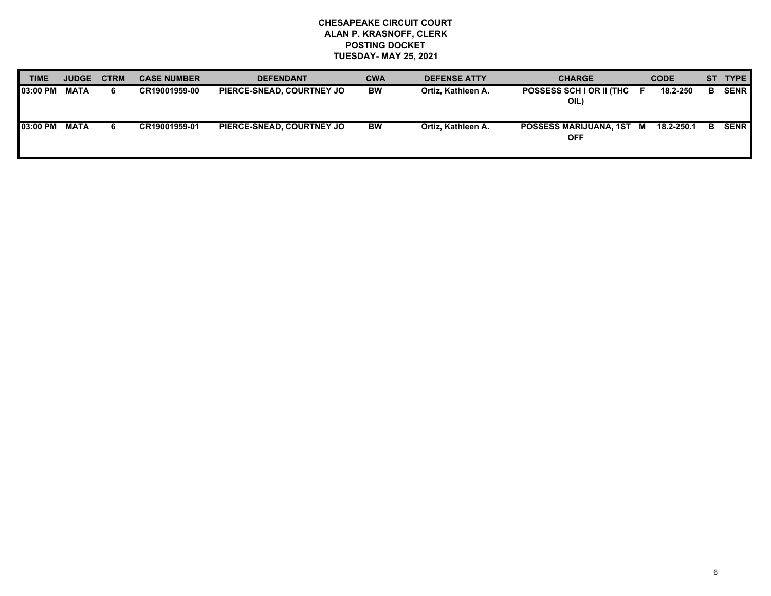| <b>TIME</b>     | <b>JUDGE</b> | <b>CTRM</b> | <b>CASE NUMBER</b> | <b>DEFENDANT</b>          | <b>CWA</b> | <b>DEFENSE ATTY</b> | <b>CHARGE</b>                          |      | <b>CODE</b> |    | ST TYPE     |
|-----------------|--------------|-------------|--------------------|---------------------------|------------|---------------------|----------------------------------------|------|-------------|----|-------------|
| <b>03:00 PM</b> | MATA         | 6           | CR19001959-00      | PIERCE-SNEAD, COURTNEY JO | <b>BW</b>  | Ortiz, Kathleen A.  | POSSESS SCH I OR II (THC<br>OIL)       | . E. | 18.2-250    | в. | <b>SENR</b> |
| 03:00 PM        | MATA         | 6           | CR19001959-01      | PIERCE-SNEAD, COURTNEY JO | BW         | Ortiz, Kathleen A.  | POSSESS MARIJUANA, 1ST M<br><b>OFF</b> |      | 18.2-250.1  | в  | <b>SENR</b> |